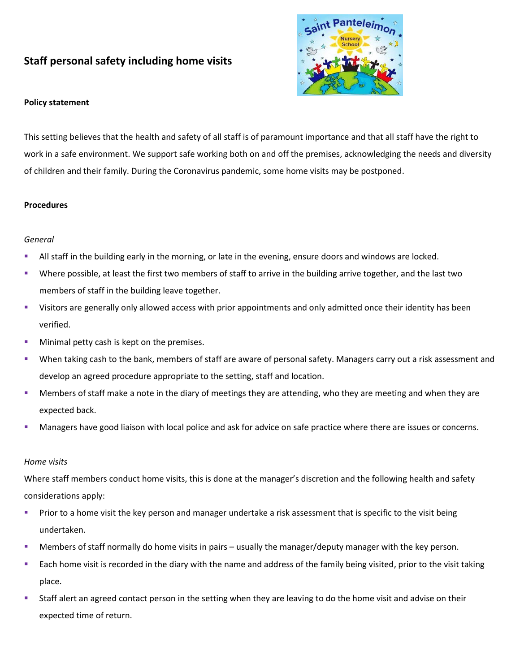# **Staff personal safety including home visits**



### **Policy statement**

This setting believes that the health and safety of all staff is of paramount importance and that all staff have the right to work in a safe environment. We support safe working both on and off the premises, acknowledging the needs and diversity of children and their family. During the Coronavirus pandemic, some home visits may be postponed.

#### **Procedures**

#### *General*

- **EXTED 10** All staff in the building early in the morning, or late in the evening, ensure doors and windows are locked.
- Where possible, at least the first two members of staff to arrive in the building arrive together, and the last two members of staff in the building leave together.
- Visitors are generally only allowed access with prior appointments and only admitted once their identity has been verified.
- **■** Minimal petty cash is kept on the premises.
- When taking cash to the bank, members of staff are aware of personal safety. Managers carry out a risk assessment and develop an agreed procedure appropriate to the setting, staff and location.
- **■** Members of staff make a note in the diary of meetings they are attending, who they are meeting and when they are expected back.
- **■** Managers have good liaison with local police and ask for advice on safe practice where there are issues or concerns.

#### *Home visits*

Where staff members conduct home visits, this is done at the manager's discretion and the following health and safety considerations apply:

- **•** Prior to a home visit the key person and manager undertake a risk assessment that is specific to the visit being undertaken.
- **EXECT** Members of staff normally do home visits in pairs usually the manager/deputy manager with the key person.
- Each home visit is recorded in the diary with the name and address of the family being visited, prior to the visit taking place.
- Staff alert an agreed contact person in the setting when they are leaving to do the home visit and advise on their expected time of return.